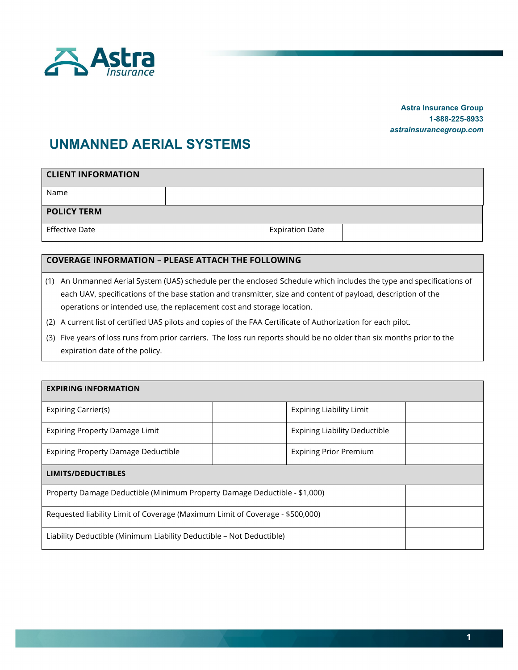

## **Astra Insurance Group 1-888-225-8933**  *astrainsurancegroup.com*

## **UNMANNED AERIAL SYSTEMS**

| <b>CLIENT INFORMATION</b> |  |  |                        |  |  |  |  |
|---------------------------|--|--|------------------------|--|--|--|--|
| Name                      |  |  |                        |  |  |  |  |
| <b>POLICY TERM</b>        |  |  |                        |  |  |  |  |
| <b>Effective Date</b>     |  |  | <b>Expiration Date</b> |  |  |  |  |

## **COVERAGE INFORMATION – PLEASE ATTACH THE FOLLOWING**

- (1) An Unmanned Aerial System (UAS) schedule per the enclosed Schedule which includes the type and specifications of each UAV, specifications of the base station and transmitter, size and content of payload, description of the operations or intended use, the replacement cost and storage location.
- (2) A current list of certified UAS pilots and copies of the FAA Certificate of Authorization for each pilot.
- (3) Five years of loss runs from prior carriers. The loss run reports should be no older than six months prior to the expiration date of the policy.

| <b>EXPIRING INFORMATION</b>                                                   |  |                                      |  |  |  |  |
|-------------------------------------------------------------------------------|--|--------------------------------------|--|--|--|--|
| Expiring Carrier(s)                                                           |  | <b>Expiring Liability Limit</b>      |  |  |  |  |
| <b>Expiring Property Damage Limit</b>                                         |  | <b>Expiring Liability Deductible</b> |  |  |  |  |
| <b>Expiring Property Damage Deductible</b>                                    |  | <b>Expiring Prior Premium</b>        |  |  |  |  |
| <b>LIMITS/DEDUCTIBLES</b>                                                     |  |                                      |  |  |  |  |
| Property Damage Deductible (Minimum Property Damage Deductible - \$1,000)     |  |                                      |  |  |  |  |
| Requested liability Limit of Coverage (Maximum Limit of Coverage - \$500,000) |  |                                      |  |  |  |  |
| Liability Deductible (Minimum Liability Deductible - Not Deductible)          |  |                                      |  |  |  |  |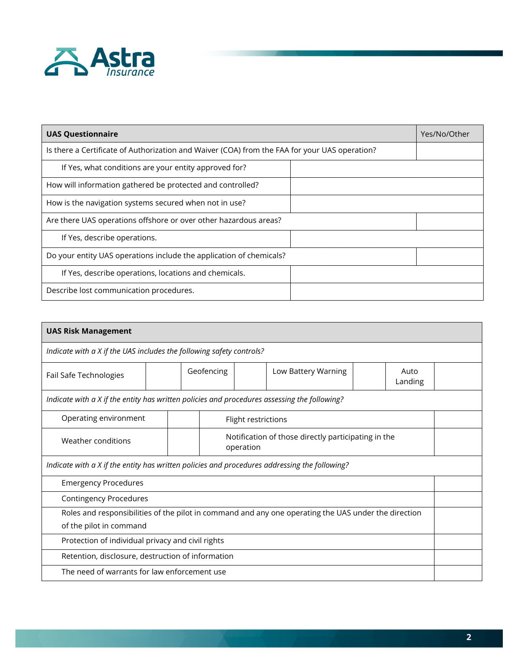

| <b>UAS Questionnaire</b>                                                                      | Yes/No/Other |
|-----------------------------------------------------------------------------------------------|--------------|
| Is there a Certificate of Authorization and Waiver (COA) from the FAA for your UAS operation? |              |
| If Yes, what conditions are your entity approved for?                                         |              |
| How will information gathered be protected and controlled?                                    |              |
| How is the navigation systems secured when not in use?                                        |              |
| Are there UAS operations offshore or over other hazardous areas?                              |              |
| If Yes, describe operations.                                                                  |              |
| Do your entity UAS operations include the application of chemicals?                           |              |
| If Yes, describe operations, locations and chemicals.                                         |              |
| Describe lost communication procedures.                                                       |              |

| <b>UAS Risk Management</b>                                                                                                      |  |  |                                                                  |  |                     |  |                 |  |
|---------------------------------------------------------------------------------------------------------------------------------|--|--|------------------------------------------------------------------|--|---------------------|--|-----------------|--|
| Indicate with a X if the UAS includes the following safety controls?                                                            |  |  |                                                                  |  |                     |  |                 |  |
| Fail Safe Technologies                                                                                                          |  |  | Geofencing                                                       |  | Low Battery Warning |  | Auto<br>Landing |  |
| Indicate with a X if the entity has written policies and procedures assessing the following?                                    |  |  |                                                                  |  |                     |  |                 |  |
| Operating environment<br>Flight restrictions                                                                                    |  |  |                                                                  |  |                     |  |                 |  |
| Weather conditions                                                                                                              |  |  | Notification of those directly participating in the<br>operation |  |                     |  |                 |  |
| Indicate with a X if the entity has written policies and procedures addressing the following?                                   |  |  |                                                                  |  |                     |  |                 |  |
| <b>Emergency Procedures</b>                                                                                                     |  |  |                                                                  |  |                     |  |                 |  |
| <b>Contingency Procedures</b>                                                                                                   |  |  |                                                                  |  |                     |  |                 |  |
| Roles and responsibilities of the pilot in command and any one operating the UAS under the direction<br>of the pilot in command |  |  |                                                                  |  |                     |  |                 |  |
| Protection of individual privacy and civil rights                                                                               |  |  |                                                                  |  |                     |  |                 |  |
| Retention, disclosure, destruction of information                                                                               |  |  |                                                                  |  |                     |  |                 |  |
| The need of warrants for law enforcement use                                                                                    |  |  |                                                                  |  |                     |  |                 |  |